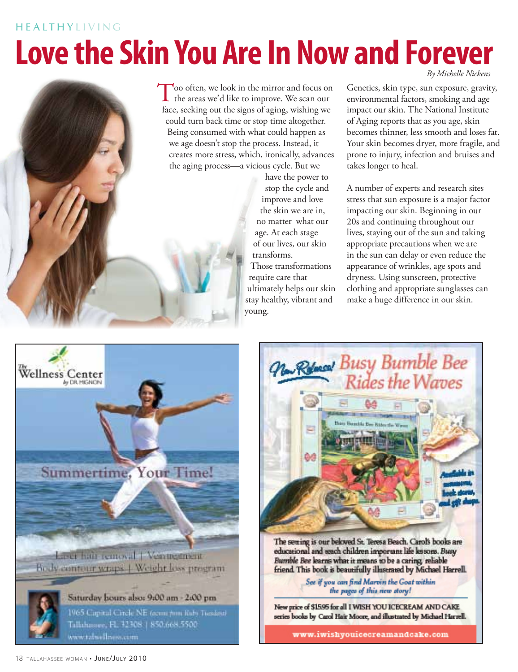#### **HEALTHYLIVING**

# **Love the Skin You Are In Now and Forever**



Too often, we look in the mirror and focus on the areas we'd like to improve. We scan our face, seeking out the signs of aging, wishing we could turn back time or stop time altogether. Being consumed with what could happen as we age doesn't stop the process. Instead, it creates more stress, which, ironically, advances the aging process—a vicious cycle. But we

> have the power to stop the cycle and improve and love the skin we are in, no matter what our age. At each stage of our lives, our skin transforms. Those transformations require care that ultimately helps our skin stay healthy, vibrant and young.

*By Michelle Nickens*

Genetics, skin type, sun exposure, gravity, environmental factors, smoking and age impact our skin. The National Institute of Aging reports that as you age, skin becomes thinner, less smooth and loses fat. Your skin becomes dryer, more fragile, and prone to injury, infection and bruises and takes longer to heal.

A number of experts and research sites stress that sun exposure is a major factor impacting our skin. Beginning in our 20s and continuing throughout our lives, staying out of the sun and taking appropriate precautions when we are in the sun can delay or even reduce the appearance of wrinkles, age spots and dryness. Using sunscreen, protective clothing and appropriate sunglasses can make a huge difference in our skin.





See if you can find Marvin the Goat within<br>the pages of this new story!

New price of \$1595 for all I WISH YOU ICECREAM AND CAKE series books by Carol Hair Moore, and illustrated by Michael Harrell.

www.iwishyouicecreamandcake.com